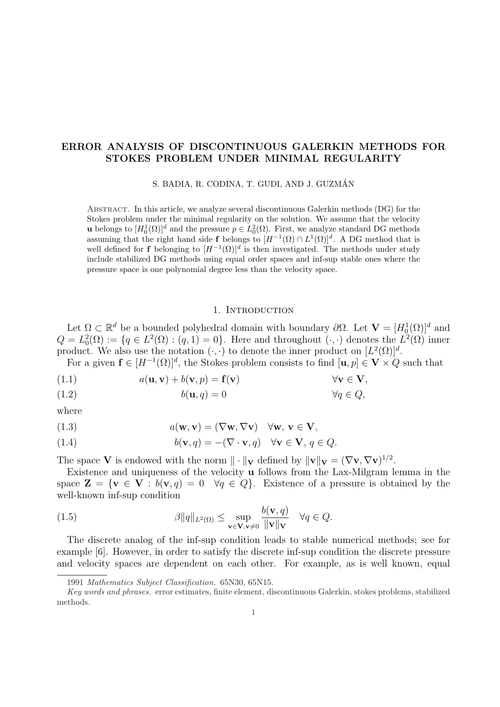## ERROR ANALYSIS OF DISCONTINUOUS GALERKIN METHODS FOR STOKES PROBLEM UNDER MINIMAL REGULARITY

S. BADIA, R. CODINA, T. GUDI, AND J. GUZMAN´

Abstract. In this article, we analyze several discontinuous Galerkin methods (DG) for the Stokes problem under the minimal regularity on the solution. We assume that the velocity **u** belongs to  $[H_0^1(\Omega)]^d$  and the pressure  $p \in L_0^2(\Omega)$ . First, we analyze standard DG methods assuming that the right hand side f belongs to  $[H^{-1}(\Omega) \cap L^1(\Omega)]^d$ . A DG method that is well defined for **f** belonging to  $[H^{-1}(\Omega)]^d$  is then investigated. The methods under study include stabilized DG methods using equal order spaces and inf-sup stable ones where the pressure space is one polynomial degree less than the velocity space.

#### 1. INTRODUCTION

Let  $\Omega \subset \mathbb{R}^d$  be a bounded polyhedral domain with boundary  $\partial \Omega$ . Let  $\mathbf{V} = [H_0^1(\Omega)]^d$  and  $Q = L_0^2(\Omega) := \{q \in L^2(\Omega) : (q, 1) = 0\}.$  Here and throughout  $(\cdot, \cdot)$  denotes the  $L^2(\Omega)$  inner product. We also use the notation  $(\cdot, \cdot)$  to denote the inner product on  $[L^2(\Omega)]^d$ .

For a given  $f \in [H^{-1}(\Omega)]^d$ , the Stokes problem consists to find  $[\mathbf{u}, p] \in \mathbf{V} \times Q$  such that

- (1.1)  $a(\mathbf{u}, \mathbf{v}) + b(\mathbf{v}, p) = \mathbf{f}(\mathbf{v})$   $\forall \mathbf{v} \in \mathbf{V},$
- (1.2)  $b(\mathbf{u}, q) = 0$   $\forall q \in Q$ ,

where

(1.3) 
$$
a(\mathbf{w}, \mathbf{v}) = (\nabla \mathbf{w}, \nabla \mathbf{v}) \quad \forall \mathbf{w}, \mathbf{v} \in \mathbf{V},
$$

(1.4) 
$$
b(\mathbf{v},q) = -(\nabla \cdot \mathbf{v},q) \quad \forall \mathbf{v} \in \mathbf{V}, q \in Q.
$$

The space V is endowed with the norm  $\|\cdot\|_{\mathbf{V}}$  defined by  $\|\mathbf{v}\|_{\mathbf{V}} = (\nabla \mathbf{v}, \nabla \mathbf{v})^{1/2}$ .

Existence and uniqueness of the velocity u follows from the Lax-Milgram lemma in the space  $\mathbf{Z} = \{ \mathbf{v} \in \mathbf{V} : b(\mathbf{v}, q) = 0 \quad \forall q \in Q \}$ . Existence of a pressure is obtained by the well-known inf-sup condition

(1.5) 
$$
\beta \|q\|_{L^2(\Omega)} \leq \sup_{\mathbf{v}\in \mathbf{V}, \mathbf{v}\neq 0} \frac{b(\mathbf{v}, q)}{\|\mathbf{v}\| \mathbf{v}} \quad \forall q \in Q.
$$

The discrete analog of the inf-sup condition leads to stable numerical methods; see for example [6]. However, in order to satisfy the discrete inf-sup condition the discrete pressure and velocity spaces are dependent on each other. For example, as is well known, equal

<sup>1991</sup> Mathematics Subject Classification. 65N30, 65N15.

Key words and phrases. error estimates, finite element, discontinuous Galerkin, stokes problems, stabilized methods.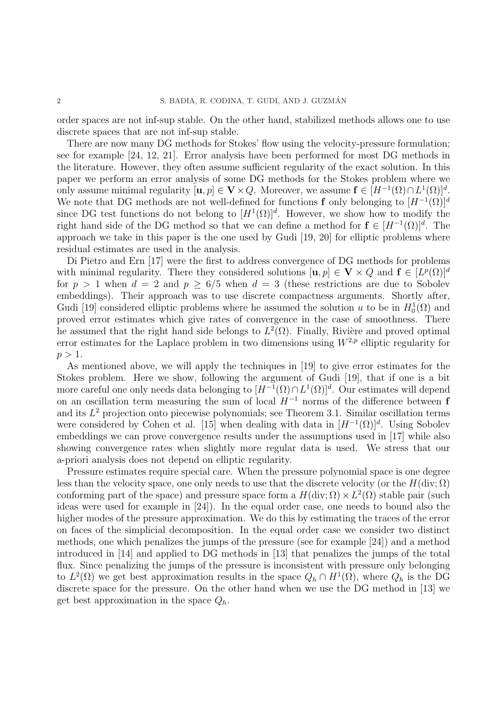order spaces are not inf-sup stable. On the other hand, stabilized methods allows one to use discrete spaces that are not inf-sup stable.

There are now many DG methods for Stokes' flow using the velocity-pressure formulation; see for example [24, 12, 21]. Error analysis have been performed for most DG methods in the literature. However, they often assume sufficient regularity of the exact solution. In this paper we perform an error analysis of some DG methods for the Stokes problem where we only assume minimal regularity  $[\mathbf{u}, p] \in \mathbf{V} \times Q$ . Moreover, we assume  $\mathbf{f} \in [H^{-1}(\Omega) \cap L^1(\Omega)]^d$ . We note that DG methods are not well-defined for functions f only belonging to  $[H^{-1}(\Omega)]^d$ since DG test functions do not belong to  $[H^1(\Omega)]^d$ . However, we show how to modify the right hand side of the DG method so that we can define a method for  $f \in [H^{-1}(\Omega)]^d$ . The approach we take in this paper is the one used by Gudi [19, 20] for elliptic problems where residual estimates are used in the analysis.

Di Pietro and Ern [17] were the first to address convergence of DG methods for problems with minimal regularity. There they considered solutions  $[\mathbf{u}, p] \in \mathbf{V} \times Q$  and  $\mathbf{f} \in [L^p(\Omega)]^d$ for  $p > 1$  when  $d = 2$  and  $p > 6/5$  when  $d = 3$  (these restrictions are due to Sobolev embeddings). Their approach was to use discrete compactness arguments. Shortly after, Gudi [19] considered elliptic problems where he assumed the solution u to be in  $H_0^1(\Omega)$  and proved error estimates which give rates of convergence in the case of smoothness. There he assumed that the right hand side belongs to  $L^2(\Omega)$ . Finally, Rivière and proved optimal error estimates for the Laplace problem in two dimensions using  $W^{2,p}$  elliptic regularity for  $p > 1$ .

As mentioned above, we will apply the techniques in [19] to give error estimates for the Stokes problem. Here we show, following the argument of Gudi [19], that if one is a bit more careful one only needs data belonging to  $[H^{-1}(\Omega) \cap L^1(\Omega)]^d$ . Our estimates will depend on an oscillation term measuring the sum of local  $H^{-1}$  norms of the difference between f and its  $L^2$  projection onto piecewise polynomials; see Theorem 3.1. Similar oscillation terms were considered by Cohen et al. [15] when dealing with data in  $[H^{-1}(\Omega)]^d$ . Using Sobolev embeddings we can prove convergence results under the assumptions used in [17] while also showing convergence rates when slightly more regular data is used. We stress that our a-priori analysis does not depend on elliptic regularity.

Pressure estimates require special care. When the pressure polynomial space is one degree less than the velocity space, one only needs to use that the discrete velocity (or the  $H(\text{div};\Omega)$ ) conforming part of the space) and pressure space form a  $H(\text{div}; \Omega) \times L^2(\Omega)$  stable pair (such ideas were used for example in [24]). In the equal order case, one needs to bound also the higher modes of the pressure approximation. We do this by estimating the traces of the error on faces of the simplicial decomposition. In the equal order case we consider two distinct methods, one which penalizes the jumps of the pressure (see for example [24]) and a method introduced in [14] and applied to DG methods in [13] that penalizes the jumps of the total flux. Since penalizing the jumps of the pressure is inconsistent with pressure only belonging to  $L^2(\Omega)$  we get best approximation results in the space  $Q_h \cap H^1(\Omega)$ , where  $Q_h$  is the DG discrete space for the pressure. On the other hand when we use the DG method in [13] we get best approximation in the space  $Q_h$ .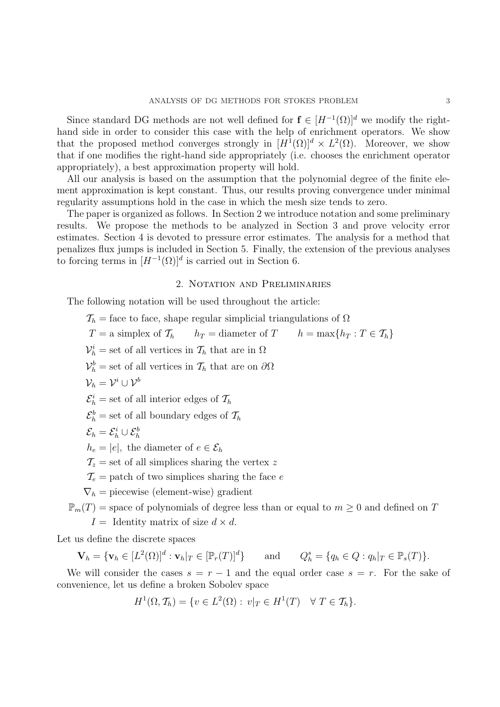Since standard DG methods are not well defined for  $f \in [H^{-1}(\Omega)]^d$  we modify the righthand side in order to consider this case with the help of enrichment operators. We show that the proposed method converges strongly in  $[H^1(\Omega)]^d \times L^2(\Omega)$ . Moreover, we show that if one modifies the right-hand side appropriately (i.e. chooses the enrichment operator appropriately), a best approximation property will hold.

All our analysis is based on the assumption that the polynomial degree of the finite element approximation is kept constant. Thus, our results proving convergence under minimal regularity assumptions hold in the case in which the mesh size tends to zero.

The paper is organized as follows. In Section 2 we introduce notation and some preliminary results. We propose the methods to be analyzed in Section 3 and prove velocity error estimates. Section 4 is devoted to pressure error estimates. The analysis for a method that penalizes flux jumps is included in Section 5. Finally, the extension of the previous analyses to forcing terms in  $[H^{-1}(\Omega)]^d$  is carried out in Section 6.

### 2. Notation and Preliminaries

The following notation will be used throughout the article:

 $\mathcal{T}_h$  = face to face, shape regular simplicial triangulations of  $\Omega$  $T = a$  simplex of  $\mathcal{T}_h$   $h_T =$  diameter of  $T$   $h = \max\{h_T : T \in \mathcal{T}_h\}$  $\mathcal{V}_h^i$  = set of all vertices in  $\mathcal{T}_h$  that are in  $\Omega$  $\mathcal{V}_h^b$  = set of all vertices in  $\mathcal{T}_h$  that are on  $\partial\Omega$  $\mathcal{V}_h = \mathcal{V}^i \cup \mathcal{V}^b$  $\mathcal{E}_h^i$  = set of all interior edges of  $\mathcal{T}_h$  $\mathcal{E}_h^b =$  set of all boundary edges of  $\mathcal{T}_h$  $\mathcal{E}_h=\mathcal{E}_h^i\cup\mathcal{E}_h^b$  $h_e = |e|$ , the diameter of  $e \in \mathcal{E}_h$  $\mathcal{T}_z =$  set of all simplices sharing the vertex z  $\mathcal{T}_e$  = patch of two simplices sharing the face e  $\nabla_h$  = piecewise (element-wise) gradient  $\mathbb{P}_m(T)$  = space of polynomials of degree less than or equal to  $m \geq 0$  and defined on T  $I =$  Identity matrix of size  $d \times d$ .

Let us define the discrete spaces

 $\mathbf{V}_h = \{\mathbf{v}_h \in [L^2(\Omega)]^d : \mathbf{v}_h|_T \in [\mathbb{P}_r(T)]^d$ and  $S_h^s = \{q_h \in Q : q_h|_T \in \mathbb{P}_s(T)\}.$ 

We will consider the cases  $s = r - 1$  and the equal order case  $s = r$ . For the sake of convenience, let us define a broken Sobolev space

$$
H^{1}(\Omega, \mathcal{T}_{h}) = \{ v \in L^{2}(\Omega) : v|_{T} \in H^{1}(T) \quad \forall T \in \mathcal{T}_{h} \}.
$$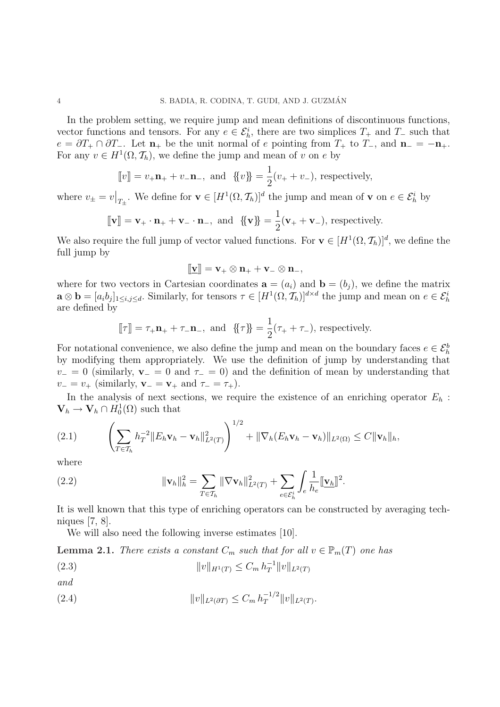In the problem setting, we require jump and mean definitions of discontinuous functions, vector functions and tensors. For any  $e \in \mathcal{E}_h^i$ , there are two simplices  $T_+$  and  $T_-$  such that  $e = \partial T_+ \cap \partial T_-.$  Let  $\mathbf{n}_+$  be the unit normal of e pointing from  $T_+$  to  $T_-,$  and  $\mathbf{n}_- = -\mathbf{n}_+$ . For any  $v \in H^1(\Omega, \mathcal{T}_h)$ , we define the jump and mean of v on e by

$$
[v] = v_{+}\mathbf{n}_{+} + v_{-\mathbf{n}_{-}}
$$
, and  $\{v\} = \frac{1}{2}(v_{+} + v_{-})$ , respectively,

where  $v_{\pm} = v$  $\big|_{T_{\pm}}$ . We define for **v** ∈  $[H^1(\Omega, \mathcal{T}_h)]^d$  the jump and mean of **v** on  $e \in \mathcal{E}_h^i$  by

$$
[\![\mathbf{v}]\!] = \mathbf{v}_+ \cdot \mathbf{n}_+ + \mathbf{v}_- \cdot \mathbf{n}_-, \text{ and } \{\!\{\mathbf{v}\}\!\} = \frac{1}{2}(\mathbf{v}_+ + \mathbf{v}_-), \text{ respectively.}
$$

We also require the full jump of vector valued functions. For  $\mathbf{v} \in [H^1(\Omega, \mathcal{T}_h)]^d$ , we define the full jump by

$$
[\hspace{-1.5pt}[ \underline{\mathbf{v}} ]\hspace{-1.5pt}] = \mathbf{v}_+ \otimes \mathbf{n}_+ + \mathbf{v}_- \otimes \mathbf{n}_-,
$$

where for two vectors in Cartesian coordinates  $\mathbf{a} = (a_i)$  and  $\mathbf{b} = (b_i)$ , we define the matrix  $\mathbf{a} \otimes \mathbf{b} = [a_i b_j]_{1 \leq i,j \leq d}$ . Similarly, for tensors  $\tau \in [H^1(\Omega, \mathcal{T}_h)]^{d \times d}$  the jump and mean on  $e \in \mathcal{E}_h^i$ are defined by

$$
\llbracket \tau \rrbracket = \tau_+ \mathbf{n}_+ + \tau_- \mathbf{n}_-, \text{ and } \{\!\{\tau\}\!\} = \frac{1}{2} (\tau_+ + \tau_-), \text{ respectively.}
$$

For notational convenience, we also define the jump and mean on the boundary faces  $e \in \mathcal{E}_h^b$ by modifying them appropriately. We use the definition of jump by understanding that  $v_0 = 0$  (similarly,  $\mathbf{v}_0 = 0$  and  $\tau_0 = 0$ ) and the definition of mean by understanding that  $v_-=v_+$  (similarly,  $\mathbf{v}_-=\mathbf{v}_+$  and  $\tau_-=\tau_+$ ).

In the analysis of next sections, we require the existence of an enriching operator  $E_h$ :  $\mathbf{V}_h \to \mathbf{V}_h \cap H_0^1(\Omega)$  such that

(2.1) 
$$
\left(\sum_{T\in\mathcal{T}_h} h_T^{-2} \|E_h \mathbf{v}_h - \mathbf{v}_h\|_{L^2(T)}^2\right)^{1/2} + \|\nabla_h (E_h \mathbf{v}_h - \mathbf{v}_h)\|_{L^2(\Omega)} \leq C \|\mathbf{v}_h\|_h,
$$

where

(2.2) 
$$
\|\mathbf{v}_h\|_{h}^{2} = \sum_{T \in \mathcal{T}_h} \|\nabla \mathbf{v}_h\|_{L^2(T)}^2 + \sum_{e \in \mathcal{E}_h^i} \int_e \frac{1}{h_e} \|\mathbf{v}_h\|^2.
$$

It is well known that this type of enriching operators can be constructed by averaging techniques [7, 8].

We will also need the following inverse estimates [10].

**Lemma 2.1.** There exists a constant  $C_m$  such that for all  $v \in \mathbb{P}_m(T)$  one has

$$
(2.3) \t\t\t ||v||_{H^1(T)} \le C_m h_T^{-1} ||v||_{L^2(T)}
$$

and

(2.4) 
$$
||v||_{L^{2}(\partial T)} \leq C_{m} h_{T}^{-1/2} ||v||_{L^{2}(T)}.
$$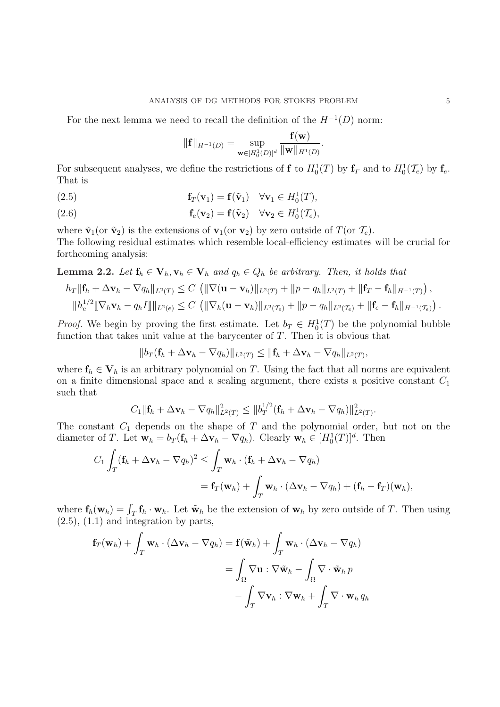For the next lemma we need to recall the definition of the  $H^{-1}(D)$  norm:

$$
\|\mathbf{f}\|_{H^{-1}(D)} = \sup_{\mathbf{w}\in [H_0^1(D)]^d} \frac{\mathbf{f}(\mathbf{w})}{\|\mathbf{w}\|_{H^1(D)}}.
$$

For subsequent analyses, we define the restrictions of **f** to  $H_0^1(T)$  by  $f_T$  and to  $H_0^1(T_e)$  by  $f_e$ . That is

(2.5) 
$$
\mathbf{f}_T(\mathbf{v}_1) = \mathbf{f}(\tilde{\mathbf{v}}_1) \quad \forall \mathbf{v}_1 \in H_0^1(T),
$$

(2.6) 
$$
\mathbf{f}_e(\mathbf{v}_2) = \mathbf{f}(\tilde{\mathbf{v}}_2) \quad \forall \mathbf{v}_2 \in H_0^1(\mathcal{T}_e),
$$

where  $\tilde{\mathbf{v}}_1$  (or  $\tilde{\mathbf{v}}_2$ ) is the extensions of  $\mathbf{v}_1$  (or  $\mathbf{v}_2$ ) by zero outside of  $T$  (or  $\mathcal{T}_e$ ). The following residual estimates which resemble local-efficiency estimates will be crucial for forthcoming analysis:

# **Lemma 2.2.** Let  $\mathbf{f}_h \in \mathbf{V}_h$ ,  $\mathbf{v}_h \in \mathbf{V}_h$  and  $q_h \in Q_h$  be arbitrary. Then, it holds that

$$
h_T \|\mathbf{f}_h + \Delta \mathbf{v}_h - \nabla q_h\|_{L^2(T)} \leq C \left( \|\nabla (\mathbf{u} - \mathbf{v}_h)\|_{L^2(T)} + \|p - q_h\|_{L^2(T)} + \|\mathbf{f}_T - \mathbf{f}_h\|_{H^{-1}(T)} \right),
$$
  

$$
\|h_e^{1/2} \|\nabla_h \mathbf{v}_h - q_h I\| \|_{L^2(e)} \leq C \left( \|\nabla_h (\mathbf{u} - \mathbf{v}_h)\|_{L^2(T_e)} + \|p - q_h\|_{L^2(T_e)} + \|\mathbf{f}_e - \mathbf{f}_h\|_{H^{-1}(T_e)} \right).
$$

*Proof.* We begin by proving the first estimate. Let  $b_T \in H_0^1(T)$  be the polynomial bubble function that takes unit value at the barycenter of  $T$ . Then it is obvious that

$$
||b_T(\mathbf{f}_h + \Delta \mathbf{v}_h - \nabla q_h)||_{L^2(T)} \leq ||\mathbf{f}_h + \Delta \mathbf{v}_h - \nabla q_h||_{L^2(T)},
$$

where  $f_h \in V_h$  is an arbitrary polynomial on T. Using the fact that all norms are equivalent on a finite dimensional space and a scaling argument, there exists a positive constant  $C_1$ such that

$$
C_1\|\mathbf{f}_h + \Delta \mathbf{v}_h - \nabla q_h\|_{L^2(T)}^2 \leq \|b_T^{1/2}(\mathbf{f}_h + \Delta \mathbf{v}_h - \nabla q_h)\|_{L^2(T)}^2.
$$

The constant  $C_1$  depends on the shape of T and the polynomial order, but not on the diameter of T. Let  $\mathbf{w}_h = b_T (\mathbf{f}_h + \Delta \mathbf{v}_h - \nabla q_h)$ . Clearly  $\mathbf{w}_h \in [H_0^1(T)]^d$ . Then  $\begin{array}{ccc} \n\cdot & \cdot & \cdot & \cdot & \cdot \\
\cdot & \cdot & \cdot & \cdot & \cdot \\
\cdot & \cdot & \cdot & \cdot & \cdot\n\end{array}$ 

$$
C_1 \int_T (\mathbf{f}_h + \Delta \mathbf{v}_h - \nabla q_h)^2 \leq \int_T \mathbf{w}_h \cdot (\mathbf{f}_h + \Delta \mathbf{v}_h - \nabla q_h)
$$
  
=  $\mathbf{f}_T(\mathbf{w}_h) + \int_T \mathbf{w}_h \cdot (\Delta \mathbf{v}_h - \nabla q_h) + (\mathbf{f}_h - \mathbf{f}_T)(\mathbf{w}_h),$ 

where  $\mathbf{f}_h(\mathbf{w}_h) = \int_T \mathbf{f}_h \cdot \mathbf{w}_h$ . Let  $\tilde{\mathbf{w}}_h$  be the extension of  $\mathbf{w}_h$  by zero outside of T. Then using  $(2.5)$ ,  $(1.1)$  and integration by parts,

$$
\mathbf{f}_T(\mathbf{w}_h) + \int_T \mathbf{w}_h \cdot (\Delta \mathbf{v}_h - \nabla q_h) = \mathbf{f}(\tilde{\mathbf{w}}_h) + \int_T \mathbf{w}_h \cdot (\Delta \mathbf{v}_h - \nabla q_h)
$$
  
= 
$$
\int_{\Omega} \nabla \mathbf{u} : \nabla \tilde{\mathbf{w}}_h - \int_{\Omega} \nabla \cdot \tilde{\mathbf{w}}_h p
$$
  
- 
$$
\int_T \nabla \mathbf{v}_h : \nabla \mathbf{w}_h + \int_T \nabla \cdot \mathbf{w}_h q_h
$$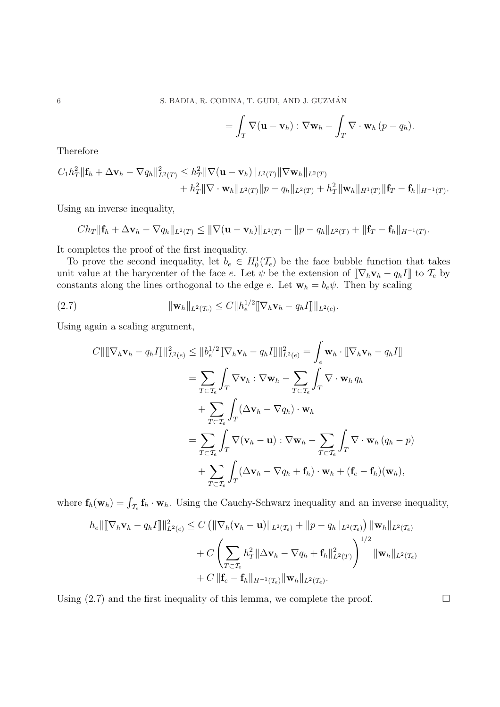$$
= \int_T \nabla (\mathbf{u} - \mathbf{v}_h) : \nabla \mathbf{w}_h - \int_T \nabla \cdot \mathbf{w}_h (p - q_h).
$$

Therefore

$$
C_1h_T^2\|\mathbf{f}_h + \Delta \mathbf{v}_h - \nabla q_h\|_{L^2(T)}^2 \leq h_T^2\|\nabla(\mathbf{u} - \mathbf{v}_h)\|_{L^2(T)}\|\nabla \mathbf{w}_h\|_{L^2(T)} + h_T^2\|\nabla \cdot \mathbf{w}_h\|_{L^2(T)}\|p - q_h\|_{L^2(T)} + h_T^2\|\mathbf{w}_h\|_{H^1(T)}\|\mathbf{f}_T - \mathbf{f}_h\|_{H^{-1}(T)}.
$$

Using an inverse inequality,

$$
Ch_T\|\mathbf{f}_h+\Delta\mathbf{v}_h-\nabla q_h\|_{L^2(T)}\leq \|\nabla(\mathbf{u}-\mathbf{v}_h)\|_{L^2(T)}+\|p-q_h\|_{L^2(T)}+\|\mathbf{f}_T-\mathbf{f}_h\|_{H^{-1}(T)}.
$$

It completes the proof of the first inequality.

To prove the second inequality, let  $b_e \in H_0^1(\mathcal{T}_e)$  be the face bubble function that takes unit value at the barycenter of the face e. Let  $\psi$  be the extension of  $[\![\nabla_h \mathbf{v}_h - q_h I]\!]$  to  $\mathcal{T}_e$  by constants along the lines orthogonal to the edge e. Let  $\mathbf{w}_h = b_e \psi$ . Then by scaling

(2.7) 
$$
\|\mathbf{w}_h\|_{L^2(\mathcal{T}_e)} \leq C \|h_e^{1/2} \|\nabla_h \mathbf{v}_h - q_h I\| \|_{L^2(e)}.
$$

Using again a scaling argument,

$$
C\|\[\nabla_h \mathbf{v}_h - q_h I\]\|_{L^2(e)}^2 \leq \|b_e^{1/2} \[\nabla_h \mathbf{v}_h - q_h I\]\|_{L^2(e)}^2 = \int_e \mathbf{w}_h \cdot [\nabla_h \mathbf{v}_h - q_h I]\]
$$
  
\n
$$
= \sum_{T \subset \mathcal{T}_e} \int_T \nabla \mathbf{v}_h : \nabla \mathbf{w}_h - \sum_{T \subset \mathcal{T}_e} \int_T \nabla \cdot \mathbf{w}_h q_h
$$
  
\n
$$
+ \sum_{T \subset \mathcal{T}_e} \int_T (\Delta \mathbf{v}_h - \nabla q_h) \cdot \mathbf{w}_h
$$
  
\n
$$
= \sum_{T \subset \mathcal{T}_e} \int_T \nabla(\mathbf{v}_h - \mathbf{u}) : \nabla \mathbf{w}_h - \sum_{T \subset \mathcal{T}_e} \int_T \nabla \cdot \mathbf{w}_h (q_h - p)
$$
  
\n
$$
+ \sum_{T \subset \mathcal{T}_e} \int_T (\Delta \mathbf{v}_h - \nabla q_h + \mathbf{f}_h) \cdot \mathbf{w}_h + (\mathbf{f}_e - \mathbf{f}_h)(\mathbf{w}_h),
$$

where  $f_h(w_h) = \int_{\mathcal{T}_e} f_h \cdot w_h$ . Using the Cauchy-Schwarz inequality and an inverse inequality,

$$
h_e \|\[\nabla_h \mathbf{v}_h - q_h I\]\|_{L^2(e)}^2 \leq C \left( \|\nabla_h (\mathbf{v}_h - \mathbf{u})\|_{L^2(\mathcal{T}_e)} + \|p - q_h\|_{L^2(\mathcal{T}_e)} \right) \|\mathbf{w}_h\|_{L^2(\mathcal{T}_e)} + C \left( \sum_{T \subset \mathcal{T}_e} h_T^2 \|\Delta \mathbf{v}_h - \nabla q_h + \mathbf{f}_h\|_{L^2(\mathcal{T})}^2 \right)^{1/2} \|\mathbf{w}_h\|_{L^2(\mathcal{T}_e)} + C \|\mathbf{f}_e - \mathbf{f}_h\|_{H^{-1}(\mathcal{T}_e)} \|\mathbf{w}_h\|_{L^2(\mathcal{T}_e)}.
$$

Using  $(2.7)$  and the first inequality of this lemma, we complete the proof.  $\Box$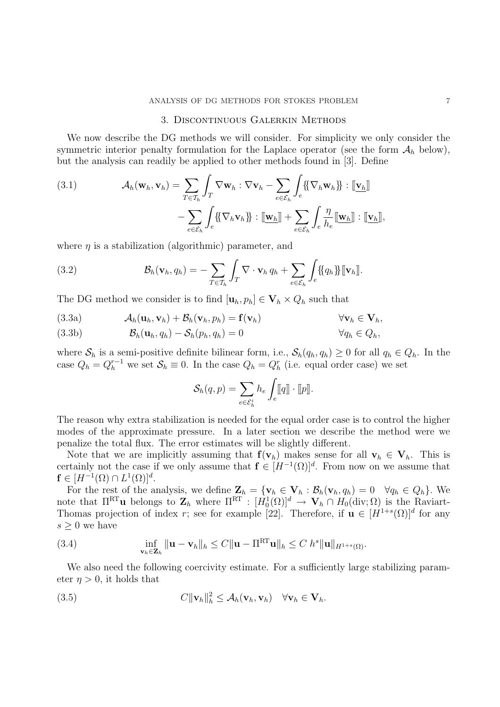#### 3. Discontinuous Galerkin Methods

We now describe the DG methods we will consider. For simplicity we only consider the symmetric interior penalty formulation for the Laplace operator (see the form  $A_h$  below), but the analysis can readily be applied to other methods found in [3]. Define

(3.1) 
$$
\mathcal{A}_h(\mathbf{w}_h, \mathbf{v}_h) = \sum_{T \in \mathcal{T}_h} \int_T \nabla \mathbf{w}_h : \nabla \mathbf{v}_h - \sum_{e \in \mathcal{E}_h} \int_e \{ \{\nabla_h \mathbf{w}_h\} \} : [\underline{\mathbf{v}_h}]
$$

$$
- \sum_{e \in \mathcal{E}_h} \int_e \{ \{\nabla_h \mathbf{v}_h\} \} : [\underline{\mathbf{w}_h}] + \sum_{e \in \mathcal{E}_h} \int_e \frac{\eta}{h_e} [\underline{\mathbf{w}_h}] : [\underline{\mathbf{v}_h}],
$$

where  $\eta$  is a stabilization (algorithmic) parameter, and

(3.2) 
$$
\mathcal{B}_h(\mathbf{v}_h, q_h) = -\sum_{T \in \mathcal{T}_h} \int_T \nabla \cdot \mathbf{v}_h q_h + \sum_{e \in \mathcal{E}_h} \int_e \{\!\{q_h\}\!\} [\![\mathbf{v}_h]\!].
$$

The DG method we consider is to find  $[\mathbf{u}_h, p_h] \in \mathbf{V}_h \times Q_h$  such that

(3.3a) 
$$
\mathcal{A}_h(\mathbf{u}_h, \mathbf{v}_h) + \mathcal{B}_h(\mathbf{v}_h, p_h) = \mathbf{f}(\mathbf{v}_h)
$$
  $\forall \mathbf{v}_h \in \mathbf{V}_h$ 

(3.3b) 
$$
\mathcal{B}_h(\mathbf{u}_h, q_h) - \mathcal{S}_h(p_h, q_h) = 0 \qquad \forall q_h \in Q_h,
$$

where  $S_h$  is a semi-positive definite bilinear form, i.e.,  $S_h(q_h, q_h) \geq 0$  for all  $q_h \in Q_h$ . In the case  $Q_h = Q_h^{r-1}$  we set  $S_h \equiv 0$ . In the case  $Q_h = Q_h^r$  (i.e. equal order case) we set

$$
\mathcal{S}_h(q,p) = \sum_{e \in \mathcal{E}_h^i} h_e \int_e [ \! [q] \! ] \cdot [ \! [p] \! ] .
$$

The reason why extra stabilization is needed for the equal order case is to control the higher modes of the approximate pressure. In a later section we describe the method were we penalize the total flux. The error estimates will be slightly different.

Note that we are implicitly assuming that  $f(v_h)$  makes sense for all  $v_h \in V_h$ . This is certainly not the case if we only assume that  $f \in [H^{-1}(\Omega)]^d$ . From now on we assume that  $f \in [H^{-1}(\Omega) \cap L^1(\Omega)]^d$ .

For the rest of the analysis, we define  $\mathbf{Z}_h = {\mathbf{v}_h \in \mathbf{V}_h : \mathcal{B}_h(\mathbf{v}_h, q_h) = 0 \quad \forall q_h \in Q_h}$ . We note that  $\Pi^{\text{RT}}$ **u** belongs to  $\mathbf{Z}_h$  where  $\Pi^{\text{RT}} : [H_0^1(\Omega)]^d \to \mathbf{V}_h \cap H_0(\text{div};\Omega)$  is the Raviart-Thomas projection of index r; see for example [22]. Therefore, if  $\mathbf{u} \in [H^{1+s}(\Omega)]^d$  for any  $s \geq 0$  we have

(3.4) 
$$
\inf_{\mathbf{v}_h \in \mathbf{Z}_h} \|\mathbf{u} - \mathbf{v}_h\|_h \leq C \|\mathbf{u} - \Pi^{\text{RT}} \mathbf{u}\|_h \leq C \; h^s \|\mathbf{u}\|_{H^{1+s}(\Omega)}.
$$

We also need the following coercivity estimate. For a sufficiently large stabilizing parameter  $\eta > 0$ , it holds that

(3.5) 
$$
C\|\mathbf{v}_h\|_h^2 \leq \mathcal{A}_h(\mathbf{v}_h, \mathbf{v}_h) \quad \forall \mathbf{v}_h \in \mathbf{V}_h.
$$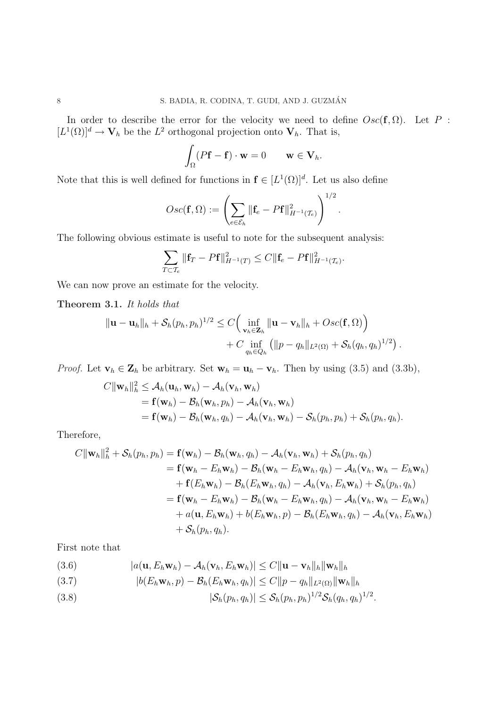In order to describe the error for the velocity we need to define  $Osc(f, \Omega)$ . Let P:  $[L^1(\Omega)]^d \to \mathbf{V}_h$  be the  $L^2$  orthogonal projection onto  $\mathbf{V}_h$ . That is,

$$
\int_{\Omega} (P\mathbf{f} - \mathbf{f}) \cdot \mathbf{w} = 0 \qquad \mathbf{w} \in \mathbf{V}_h.
$$

Note that this is well defined for functions in  $f \in [L^1(\Omega)]^d$ . Let us also define

$$
Osc(\mathbf{f}, \Omega) := \left(\sum_{e \in \mathcal{E}_h} \|\mathbf{f}_e - P\mathbf{f}\|_{H^{-1}(\mathcal{I}_e)}^2\right)^{1/2}.
$$

The following obvious estimate is useful to note for the subsequent analysis:

$$
\sum_{T \subset \mathcal{T}_e} ||\mathbf{f}_T - P\mathbf{f}||_{H^{-1}(T)}^2 \leq C ||\mathbf{f}_e - P\mathbf{f}||_{H^{-1}(\mathcal{T}_e)}^2.
$$

We can now prove an estimate for the velocity.

Theorem 3.1. It holds that

$$
\|\mathbf{u}-\mathbf{u}_h\|_h + \mathcal{S}_h(p_h, p_h)^{1/2} \leq C \Big( \inf_{\mathbf{v}_h \in \mathbf{Z}_h} \|\mathbf{u}-\mathbf{v}_h\|_h + Osc(\mathbf{f}, \Omega) \Big) + C \inf_{q_h \in Q_h} \big( \|p-q_h\|_{L^2(\Omega)} + \mathcal{S}_h(q_h, q_h)^{1/2} \big).
$$

*Proof.* Let  $\mathbf{v}_h \in \mathbf{Z}_h$  be arbitrary. Set  $\mathbf{w}_h = \mathbf{u}_h - \mathbf{v}_h$ . Then by using (3.5) and (3.3b),

$$
C||\mathbf{w}_h||_h^2 \leq A_h(\mathbf{u}_h, \mathbf{w}_h) - A_h(\mathbf{v}_h, \mathbf{w}_h)
$$
  
=  $\mathbf{f}(\mathbf{w}_h) - B_h(\mathbf{w}_h, p_h) - A_h(\mathbf{v}_h, \mathbf{w}_h)$   
=  $\mathbf{f}(\mathbf{w}_h) - B_h(\mathbf{w}_h, q_h) - A_h(\mathbf{v}_h, \mathbf{w}_h) - S_h(p_h, p_h) + S_h(p_h, q_h).$ 

Therefore,

$$
C||\mathbf{w}_h||_h^2 + \mathcal{S}_h(p_h, p_h) = \mathbf{f}(\mathbf{w}_h) - \mathcal{B}_h(\mathbf{w}_h, q_h) - \mathcal{A}_h(\mathbf{v}_h, \mathbf{w}_h) + \mathcal{S}_h(p_h, q_h)
$$
  
\n
$$
= \mathbf{f}(\mathbf{w}_h - E_h \mathbf{w}_h) - \mathcal{B}_h(\mathbf{w}_h - E_h \mathbf{w}_h, q_h) - \mathcal{A}_h(\mathbf{v}_h, \mathbf{w}_h - E_h \mathbf{w}_h)
$$
  
\n
$$
+ \mathbf{f}(E_h \mathbf{w}_h) - \mathcal{B}_h(E_h \mathbf{w}_h, q_h) - \mathcal{A}_h(\mathbf{v}_h, E_h \mathbf{w}_h) + \mathcal{S}_h(p_h, q_h)
$$
  
\n
$$
= \mathbf{f}(\mathbf{w}_h - E_h \mathbf{w}_h) - \mathcal{B}_h(\mathbf{w}_h - E_h \mathbf{w}_h, q_h) - \mathcal{A}_h(\mathbf{v}_h, \mathbf{w}_h - E_h \mathbf{w}_h)
$$
  
\n
$$
+ a(\mathbf{u}, E_h \mathbf{w}_h) + b(E_h \mathbf{w}_h, p) - \mathcal{B}_h(E_h \mathbf{w}_h, q_h) - \mathcal{A}_h(\mathbf{v}_h, E_h \mathbf{w}_h)
$$
  
\n
$$
+ \mathcal{S}_h(p_h, q_h).
$$

First note that

$$
(3.6) \t |a(\mathbf{u}, E_h \mathbf{w}_h) - \mathcal{A}_h(\mathbf{v}_h, E_h \mathbf{w}_h)| \leq C \|\mathbf{u} - \mathbf{v}_h\|_h \|\mathbf{w}_h\|_h
$$

$$
(3.7) \t\t\t |b(E_h\mathbf{w}_h, p) - \mathcal{B}_h(E_h\mathbf{w}_h, q_h)| \le C||p - q_h||_{L^2(\Omega)} \|\mathbf{w}_h\|_h
$$

(3.8) 
$$
|\mathcal{S}_h(p_h, q_h)| \leq \mathcal{S}_h(p_h, p_h)^{1/2} \mathcal{S}_h(q_h, q_h)^{1/2}.
$$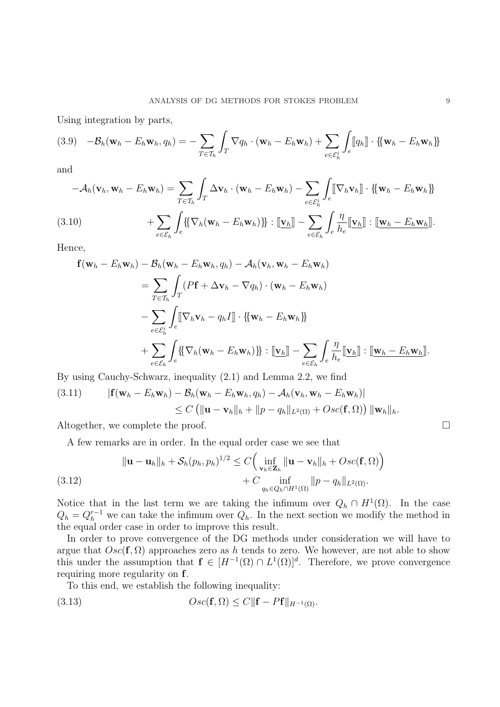Using integration by parts,

$$
(3.9) \quad -\mathcal{B}_h(\mathbf{w}_h - E_h \mathbf{w}_h, q_h) = -\sum_{T \in \mathcal{T}_h} \int_T \nabla q_h \cdot (\mathbf{w}_h - E_h \mathbf{w}_h) + \sum_{e \in \mathcal{E}_h^i} \int_e [[q_h]] \cdot \{ [\mathbf{w}_h - E_h \mathbf{w}_h] \}
$$

and

$$
-A_h(\mathbf{v}_h, \mathbf{w}_h - E_h \mathbf{w}_h) = \sum_{T \in \mathcal{T}_h} \int_T \Delta \mathbf{v}_h \cdot (\mathbf{w}_h - E_h \mathbf{w}_h) - \sum_{e \in \mathcal{E}_h^i} \int_e [\nabla_h \mathbf{v}_h] \cdot {\mathbf{w}_h - E_h \mathbf{w}_h}
$$
  
(3.10) 
$$
+ \sum_{e \in \mathcal{E}_h} \int_e {\mathbf{W}_h(\mathbf{w}_h - E_h \mathbf{w}_h)} \cdot [\mathbf{v}_h] - \sum_{e \in \mathcal{E}_h} \int_e \frac{\eta}{h_e} [\mathbf{v}_h] : [\mathbf{w}_h - E_h \mathbf{w}_h].
$$

Hence,

$$
\mathbf{f}(\mathbf{w}_h - E_h \mathbf{w}_h) - \mathcal{B}_h(\mathbf{w}_h - E_h \mathbf{w}_h, q_h) - \mathcal{A}_h(\mathbf{v}_h, \mathbf{w}_h - E_h \mathbf{w}_h)
$$
\n
$$
= \sum_{T \in \mathcal{T}_h} \int_T (P\mathbf{f} + \Delta \mathbf{v}_h - \nabla q_h) \cdot (\mathbf{w}_h - E_h \mathbf{w}_h)
$$
\n
$$
- \sum_{e \in \mathcal{E}_h} \int_e [\nabla_h \mathbf{v}_h - q_h \mathbf{I}] \cdot \{ \{\mathbf{w}_h - E_h \mathbf{w}_h \} \}
$$
\n
$$
+ \sum_{e \in \mathcal{E}_h} \int_e \{ \{\nabla_h (\mathbf{w}_h - E_h \mathbf{w}_h) \} \} : [\mathbf{v}_h] - \sum_{e \in \mathcal{E}_h} \int_e \frac{\eta}{h_e} [\mathbf{v}_h] : [\mathbf{w}_h - E_h \mathbf{w}_h].
$$

By using Cauchy-Schwarz, inequality (2.1) and Lemma 2.2, we find

(3.11) 
$$
|\mathbf{f}(\mathbf{w}_h - E_h \mathbf{w}_h) - \mathcal{B}_h(\mathbf{w}_h - E_h \mathbf{w}_h, q_h) - \mathcal{A}_h(\mathbf{v}_h, \mathbf{w}_h - E_h \mathbf{w}_h)|
$$
  
 
$$
\leq C \left( \|\mathbf{u} - \mathbf{v}_h\|_h + \|p - q_h\|_{L^2(\Omega)} + Osc(\mathbf{f}, \Omega) \right) \|\mathbf{w}_h\|_h.
$$

Altogether, we complete the proof.  $\Box$ 

A few remarks are in order. In the equal order case we see that  $\frac{1}{2}$ 

(3.12)  
\n
$$
\|\mathbf{u} - \mathbf{u}_h\|_h + \mathcal{S}_h(p_h, p_h)^{1/2} \leq C \Big( \inf_{\mathbf{v}_h \in \mathbf{Z}_h} \|\mathbf{u} - \mathbf{v}_h\|_h + Osc(\mathbf{f}, \Omega) \Big)
$$
\n
$$
+ C \inf_{q_h \in Q_h \cap H^1(\Omega)} \|p - q_h\|_{L^2(\Omega)}.
$$

Notice that in the last term we are taking the infimum over  $Q_h \cap H^1(\Omega)$ . In the case  $Q_h = Q_h^{r-1}$  we can take the infimum over  $Q_h$ . In the next section we modify the method in the equal order case in order to improve this result.

In order to prove convergence of the DG methods under consideration we will have to argue that  $Osc(f, \Omega)$  approaches zero as h tends to zero. We however, are not able to show this under the assumption that  $f \in [H^{-1}(\Omega) \cap L^1(\Omega)]^d$ . Therefore, we prove convergence requiring more regularity on f.

To this end, we establish the following inequality:

(3.13) 
$$
Osc(\mathbf{f}, \Omega) \le C \|\mathbf{f} - P\mathbf{f}\|_{H^{-1}(\Omega)}.
$$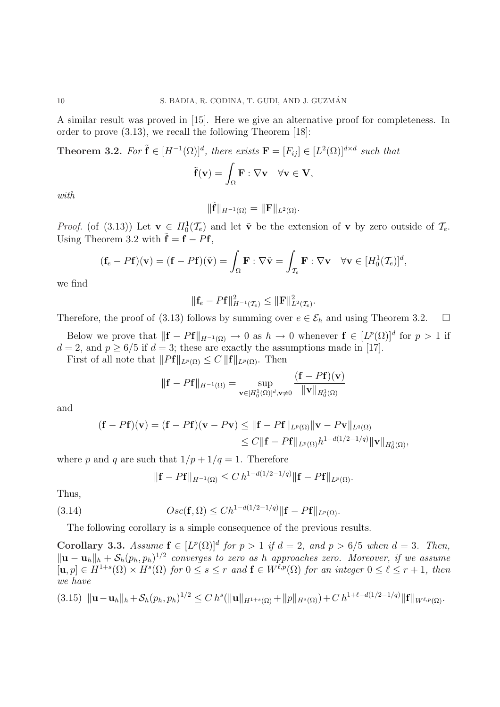A similar result was proved in [15]. Here we give an alternative proof for completeness. In order to prove (3.13), we recall the following Theorem [18]:

**Theorem 3.2.** For  $\tilde{\mathbf{f}} \in [H^{-1}(\Omega)]^d$ , there exists  $\mathbf{F} = [F_{ij}] \in [L^2(\Omega)]^{d \times d}$  such that

$$
\tilde{\mathbf{f}}(\mathbf{v}) = \int_{\Omega} \mathbf{F} : \nabla \mathbf{v} \quad \forall \mathbf{v} \in \mathbf{V},
$$

with

$$
\|\tilde{\mathbf{f}}\|_{H^{-1}(\Omega)} = \|\mathbf{F}\|_{L^2(\Omega)}.
$$

*Proof.* (of (3.13)) Let  $\mathbf{v} \in H_0^1(\mathcal{T}_e)$  and let  $\tilde{\mathbf{v}}$  be the extension of  $\mathbf{v}$  by zero outside of  $\mathcal{T}_e$ . Using Theorem 3.2 with  $\tilde{\mathbf{f}} = \mathbf{f} - P\mathbf{f}$ ,

$$
(\mathbf{f}_e - P\mathbf{f})(\mathbf{v}) = (\mathbf{f} - P\mathbf{f})(\tilde{\mathbf{v}}) = \int_{\Omega} \mathbf{F} : \nabla \tilde{\mathbf{v}} = \int_{\mathcal{T}_e} \mathbf{F} : \nabla \mathbf{v} \quad \forall \mathbf{v} \in [H_0^1(\mathcal{T}_e)]^d,
$$

we find

$$
\|\mathbf{f}_{e}-P\mathbf{f}\|_{H^{-1}(\mathcal{T}_{e})}^{2} \leq \|\mathbf{F}\|_{L^{2}(\mathcal{T}_{e})}^{2}.
$$

Therefore, the proof of (3.13) follows by summing over  $e \in \mathcal{E}_h$  and using Theorem 3.2.  $\Box$ 

Below we prove that  $\|\mathbf{f} - P\mathbf{f}\|_{H^{-1}(\Omega)} \to 0$  as  $h \to 0$  whenever  $\mathbf{f} \in [L^p(\Omega)]^d$  for  $p > 1$  if  $d = 2$ , and  $p \ge 6/5$  if  $d = 3$ ; these are exactly the assumptions made in [17].

First of all note that  $||Pf||_{L^p(\Omega)} \leq C ||f||_{L^p(\Omega)}$ . Then

$$
\|\mathbf{f} - P\mathbf{f}\|_{H^{-1}(\Omega)} = \sup_{\mathbf{v} \in [H_0^1(\Omega)]^d, \mathbf{v} \neq 0} \frac{(\mathbf{f} - P\mathbf{f})(\mathbf{v})}{\|\mathbf{v}\|_{H_0^1(\Omega)}}
$$

and

$$
(\mathbf{f} - P\mathbf{f})(\mathbf{v}) = (\mathbf{f} - P\mathbf{f})(\mathbf{v} - P\mathbf{v}) \leq \|\mathbf{f} - P\mathbf{f}\|_{L^p(\Omega)} \|\mathbf{v} - P\mathbf{v}\|_{L^q(\Omega)}
$$
  

$$
\leq C \|\mathbf{f} - P\mathbf{f}\|_{L^p(\Omega)} h^{1 - d(1/2 - 1/q)} \|\mathbf{v}\|_{H_0^1(\Omega)},
$$

where p and q are such that  $1/p + 1/q = 1$ . Therefore

$$
\|\mathbf{f} - P\mathbf{f}\|_{H^{-1}(\Omega)} \leq C \, h^{1 - d(1/2 - 1/q)} \|\mathbf{f} - P\mathbf{f}\|_{L^p(\Omega)}.
$$

Thus,

(3.14) 
$$
Osc(\mathbf{f}, \Omega) \leq Ch^{1-d(1/2-1/q)} \|\mathbf{f} - P\mathbf{f}\|_{L^p(\Omega)}.
$$

The following corollary is a simple consequence of the previous results.

Corollary 3.3. Assume  $f \in [L^p(\Omega)]^d$  for  $p > 1$  if  $d = 2$ , and  $p > 6/5$  when  $d = 3$ . Then,  $\|\mathbf{u}-\mathbf{u}_h\|_h + \mathcal{S}_h(p_h, p_h)^{1/2}$  converges to zero as h approaches zero. Moreover, if we assume  $[u, p] \in H^{1+s}(\Omega) \times H^s(\Omega)$  for  $0 \le s \le r$  and  $\mathbf{f} \in W^{\ell,p}(\Omega)$  for an integer  $0 \le \ell \le r+1$ , then we have

$$
(3.15) \|\mathbf{u}-\mathbf{u}_h\|_h + \mathcal{S}_h(p_h, p_h)^{1/2} \leq C h^{s}(\|\mathbf{u}\|_{H^{1+s}(\Omega)} + \|p\|_{H^s(\Omega)}) + C h^{1+\ell-d(1/2-1/q)}\|\mathbf{f}\|_{W^{\ell,p}(\Omega)}.
$$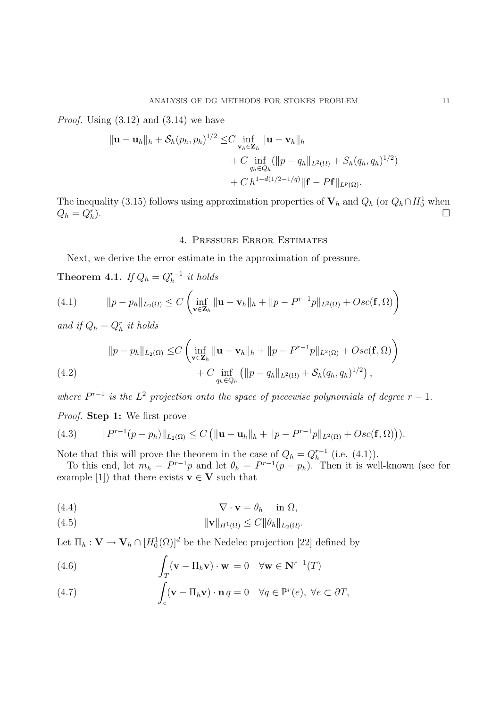*Proof.* Using  $(3.12)$  and  $(3.14)$  we have

$$
\|\mathbf{u} - \mathbf{u}_h\|_{h} + \mathcal{S}_h(p_h, p_h)^{1/2} \leq C \inf_{\mathbf{v}_h \in \mathbf{Z}_h} \|\mathbf{u} - \mathbf{v}_h\|_{h}
$$
  
+ C \inf\_{q\_h \in Q\_h} (\|p - q\_h\|\_{L^2(\Omega)} + S\_h(q\_h, q\_h)^{1/2})  
+ C h^{1-d(1/2-1/q)} \|\mathbf{f} - P\mathbf{f}\|\_{L^p(\Omega)}.

The inequality (3.15) follows using approximation properties of  $V_h$  and  $Q_h$  (or  $Q_h \cap H_0^1$  when  $Q_h = Q_h^r$ ).  $\Box$ 

## 4. Pressure Error Estimates

Next, we derive the error estimate in the approximation of pressure.

Theorem 4.1. If  $Q_h = Q_h^{r-1}$  $_{h}^{r-1}$  it holds

(4.1) 
$$
\|p - p_h\|_{L_2(\Omega)} \leq C \left( \inf_{\mathbf{v} \in \mathbf{Z}_h} \|\mathbf{u} - \mathbf{v}_h\|_h + \|p - P^{r-1}p\|_{L^2(\Omega)} + Osc(\mathbf{f}, \Omega) \right)
$$

and if  $Q_h = Q_h^r$  it holds

(4.2) 
$$
||p - p_h||_{L_2(\Omega)} \leq C \left( \inf_{\mathbf{v} \in \mathbf{Z}_h} ||\mathbf{u} - \mathbf{v}_h||_h + ||p - P^{r-1}p||_{L^2(\Omega)} + Osc(\mathbf{f}, \Omega) \right) + C \inf_{q_h \in Q_h} (||p - q_h||_{L^2(\Omega)} + S_h(q_h, q_h)^{1/2}),
$$

where  $P^{r-1}$  is the  $L^2$  projection onto the space of piecewise polynomials of degree  $r-1$ . Proof. **Step 1:** We first prove

(4.3) 
$$
\|P^{r-1}(p-p_h)\|_{L_2(\Omega)} \leq C \left( \|\mathbf{u}-\mathbf{u}_h\|_{h} + \|p - P^{r-1}p\|_{L^2(\Omega)} + Osc(\mathbf{f},\Omega) \right).
$$

Note that this will prove the theorem in the case of  $Q_h = Q_h^{r-1}$  $h^{r-1}$  (i.e.  $(4.1)$ ).

To this end, let  $m_h = P^{r-1}p$  and let  $\theta_h = P^{r-1}(p - p_h)$ . Then it is well-known (see for example [1]) that there exists  $\mathbf{v} \in \mathbf{V}$  such that

(4.4) 
$$
\nabla \cdot \mathbf{v} = \theta_h \quad \text{in } \Omega,
$$

$$
||\mathbf{v}||_{H^1(\Omega)} \leq C ||\theta_h||_{L_2(\Omega)}.
$$

Let  $\Pi_h: \mathbf{V} \to \mathbf{V}_h \cap [H_0^1(\Omega)]^d$  be the Nedelec projection [22] defined by Z

(4.6) 
$$
\int_{T} (\mathbf{v} - \Pi_h \mathbf{v}) \cdot \mathbf{w} = 0 \quad \forall \mathbf{w} \in \mathbf{N}^{r-1}(T)
$$

(4.7) 
$$
\int_{e} (\mathbf{v} - \Pi_{h} \mathbf{v}) \cdot \mathbf{n} q = 0 \quad \forall q \in \mathbb{P}^{r}(e), \ \forall e \subset \partial T,
$$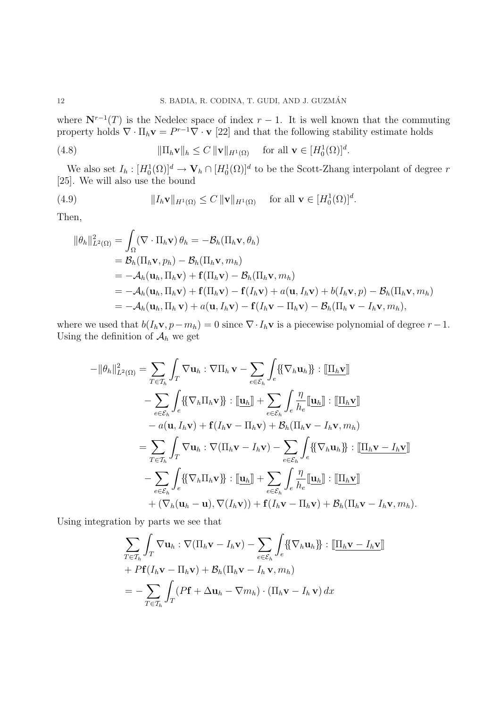where  $N^{r-1}(T)$  is the Nedelec space of index  $r-1$ . It is well known that the commuting property holds  $\nabla \cdot \Pi_h \mathbf{v} = P^{r-1} \nabla \cdot \mathbf{v}$  [22] and that the following stability estimate holds

(4.8) 
$$
\|\Pi_h \mathbf{v}\|_h \leq C \|\mathbf{v}\|_{H^1(\Omega)} \quad \text{ for all } \mathbf{v} \in [H_0^1(\Omega)]^d.
$$

We also set  $I_h: [H_0^1(\Omega)]^d \to \mathbf{V}_h \cap [H_0^1(\Omega)]^d$  to be the Scott-Zhang interpolant of degree r [25]. We will also use the bound

(4.9) 
$$
||I_h \mathbf{v}||_{H^1(\Omega)} \leq C ||\mathbf{v}||_{H^1(\Omega)} \text{ for all } \mathbf{v} \in [H_0^1(\Omega)]^d.
$$

Then,

$$
\|\theta_h\|_{L^2(\Omega)}^2 = \int_{\Omega} (\nabla \cdot \Pi_h \mathbf{v}) \, \theta_h = -\mathcal{B}_h(\Pi_h \mathbf{v}, \theta_h)
$$
  
\n
$$
= \mathcal{B}_h(\Pi_h \mathbf{v}, p_h) - \mathcal{B}_h(\Pi_h \mathbf{v}, m_h)
$$
  
\n
$$
= -\mathcal{A}_h(\mathbf{u}_h, \Pi_h \mathbf{v}) + \mathbf{f}(\Pi_h \mathbf{v}) - \mathcal{B}_h(\Pi_h \mathbf{v}, m_h)
$$
  
\n
$$
= -\mathcal{A}_h(\mathbf{u}_h, \Pi_h \mathbf{v}) + \mathbf{f}(\Pi_h \mathbf{v}) - \mathbf{f}(I_h \mathbf{v}) + a(\mathbf{u}, I_h \mathbf{v}) + b(I_h \mathbf{v}, p) - \mathcal{B}_h(\Pi_h \mathbf{v}, m_h)
$$
  
\n
$$
= -\mathcal{A}_h(\mathbf{u}_h, \Pi_h \mathbf{v}) + a(\mathbf{u}, I_h \mathbf{v}) - \mathbf{f}(I_h \mathbf{v} - \Pi_h \mathbf{v}) - \mathcal{B}_h(\Pi_h \mathbf{v} - I_h \mathbf{v}, m_h),
$$

where we used that  $b(I_h\mathbf{v}, p-m_h) = 0$  since  $\nabla \cdot I_h\mathbf{v}$  is a piecewise polynomial of degree  $r-1$ . Using the definition of  $\mathcal{A}_h$  we get

$$
-||\theta_h||_{L^2(\Omega)}^2 = \sum_{T \in \mathcal{T}_h} \int_T \nabla \mathbf{u}_h : \nabla \Pi_h \mathbf{v} - \sum_{e \in \mathcal{E}_h} \int_e \{\nabla_h \mathbf{u}_h\} : [\underline{\Pi_h \mathbf{v}}] - \sum_{e \in \mathcal{E}_h} \int_e \{\{\nabla_h \Pi_h \mathbf{v}\}\} : [\underline{\mathbf{u}}_h] + \sum_{e \in \mathcal{E}_h} \int_e \frac{\eta}{h_e} [\underline{\mathbf{u}}_h] : [\underline{\Pi_h \mathbf{v}}] - a(\mathbf{u}, I_h \mathbf{v}) + \mathbf{f}(I_h \mathbf{v} - \Pi_h \mathbf{v}) + \mathcal{B}_h (\Pi_h \mathbf{v} - I_h \mathbf{v}, m_h) = \sum_{T \in \mathcal{T}_h} \int_T \nabla \mathbf{u}_h : \nabla (\Pi_h \mathbf{v} - I_h \mathbf{v}) - \sum_{e \in \mathcal{E}_h} \int_e \{\{\nabla_h \mathbf{u}_h\} : [\underline{\Pi_h \mathbf{v} - I_h \mathbf{v}}] - \sum_{e \in \mathcal{E}_h} \int_e \{\{\nabla_h \Pi_h \mathbf{v}\}\} : [\underline{\mathbf{u}}_h] + \sum_{e \in \mathcal{E}_h} \int_e \frac{\eta}{h_e} [\underline{\mathbf{u}}_h] : [\underline{\Pi_h \mathbf{v}}] + (\nabla_h (\mathbf{u}_h - \mathbf{u}), \nabla (I_h \mathbf{v})) + \mathbf{f}(I_h \mathbf{v} - \Pi_h \mathbf{v}) + \mathcal{B}_h (\Pi_h \mathbf{v} - I_h \mathbf{v}, m_h).
$$

Using integration by parts we see that

$$
\sum_{T \in \mathcal{T}_h} \int_T \nabla \mathbf{u}_h : \nabla (\Pi_h \mathbf{v} - I_h \mathbf{v}) - \sum_{e \in \mathcal{E}_h} \int_e {\{\nabla_h \mathbf{u}_h\}} : [\underline{\Pi_h \mathbf{v} - I_h \mathbf{v}}] + Pf(I_h \mathbf{v} - \Pi_h \mathbf{v}) + \mathcal{B}_h (\Pi_h \mathbf{v} - I_h \mathbf{v}, m_h) = - \sum_{T \in \mathcal{T}_h} \int_T (P\mathbf{f} + \Delta \mathbf{u}_h - \nabla m_h) \cdot (\Pi_h \mathbf{v} - I_h \mathbf{v}) dx
$$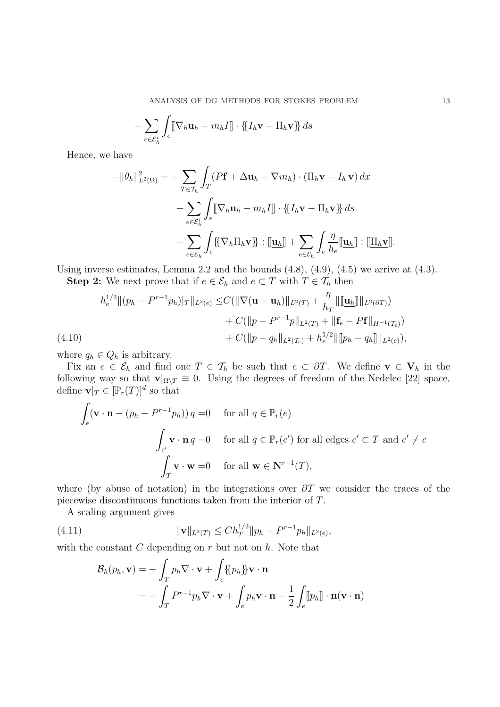ANALYSIS OF DG METHODS FOR STOKES PROBLEM 13

$$
+\sum_{e\in \mathcal{E}_h^i}\int_e\llbracket \nabla_h\mathbf{u}_h-m_h I\rrbracket\cdot\{\!\!\{I_h\mathbf{v}-\Pi_h\mathbf{v}\}\!\!\}\,ds\\
$$

Hence, we have

$$
-\|\theta_h\|_{L^2(\Omega)}^2 = -\sum_{T \in \mathcal{T}_h} \int_T (P\mathbf{f} + \Delta \mathbf{u}_h - \nabla m_h) \cdot (\Pi_h \mathbf{v} - I_h \mathbf{v}) dx + \sum_{e \in \mathcal{E}_h^i} \int_e [\nabla_h \mathbf{u}_h - m_h I] \cdot \{\!\{I_h \mathbf{v} - \Pi_h \mathbf{v}\}\!\} ds - \sum_{e \in \mathcal{E}_h} \int_e \{\!\{\nabla_h \Pi_h \mathbf{v}\}\!\} : [\underline{\mathbf{u}}_h] + \sum_{e \in \mathcal{E}_h} \int_e \frac{\eta}{h_e} [\underline{\mathbf{u}}_h] \cdot [\underline{\Pi_h \mathbf{v}}].
$$

Using inverse estimates, Lemma 2.2 and the bounds  $(4.8)$ ,  $(4.9)$ ,  $(4.5)$  we arrive at  $(4.3)$ .

**Step 2:** We next prove that if  $e \in \mathcal{E}_h$  and  $e \subset T$  with  $T \in \mathcal{T}_h$  then

$$
h_e^{1/2} \|(p_h - P^{r-1}p_h)|_T \|_{L^2(e)} \leq C (\|\nabla (\mathbf{u} - \mathbf{u}_h)\|_{L^2(T)} + \frac{\eta}{h_T} \|\[\mathbf{u}_h\]\|_{L^2(\partial T)})
$$
  
+  $C (\|p - P^{r-1}p\|_{L^2(T)} + \|\mathbf{f}_e - P\mathbf{f}\|_{H^{-1}(T_e)})$   
+  $C (\|p - q_h\|_{L^2(T_e)} + h_e^{1/2} \|\[p_h - q_h\]\|_{L^2(e)}),$ 

where  $q_h \in Q_h$  is arbitrary.

Fix an  $e \in \mathcal{E}_h$  and find one  $T \in \mathcal{T}_h$  be such that  $e \subset \partial T$ . We define  $\mathbf{v} \in \mathbf{V}_h$  in the following way so that  $\mathbf{v}|_{\Omega\setminus T}\equiv 0$ . Using the degrees of freedom of the Nedelec [22] space, define  $\mathbf{v}|_T \in [\mathbb{P}_r(T)]^d$  so that

$$
\int_{e} (\mathbf{v} \cdot \mathbf{n} - (p_h - P^{r-1}p_h)) q = 0 \quad \text{for all } q \in \mathbb{P}_r(e)
$$
\n
$$
\int_{e'} \mathbf{v} \cdot \mathbf{n} q = 0 \quad \text{for all } q \in \mathbb{P}_r(e') \text{ for all edges } e' \subset T \text{ and } e' \neq e
$$
\n
$$
\int_{T} \mathbf{v} \cdot \mathbf{w} = 0 \quad \text{for all } \mathbf{w} \in \mathbf{N}^{r-1}(T),
$$

where (by abuse of notation) in the integrations over  $\partial T$  we consider the traces of the piecewise discontinuous functions taken from the interior of T.

A scaling argument gives

(4.11) 
$$
\|\mathbf{v}\|_{L^2(T)} \leq Ch_T^{1/2} \|p_h - P^{r-1}p_h\|_{L^2(e)},
$$

with the constant  $C$  depending on  $r$  but not on  $h$ . Note that 2<br>*Z* 

$$
\mathcal{B}_h(p_h, \mathbf{v}) = -\int_T p_h \nabla \cdot \mathbf{v} + \int_e \{\!\{p_h\}\!\} \mathbf{v} \cdot \mathbf{n}
$$
  
= 
$$
- \int_T P^{r-1} p_h \nabla \cdot \mathbf{v} + \int_e p_h \mathbf{v} \cdot \mathbf{n} - \frac{1}{2} \int_e [p_h] \cdot \mathbf{n} (\mathbf{v} \cdot \mathbf{n})
$$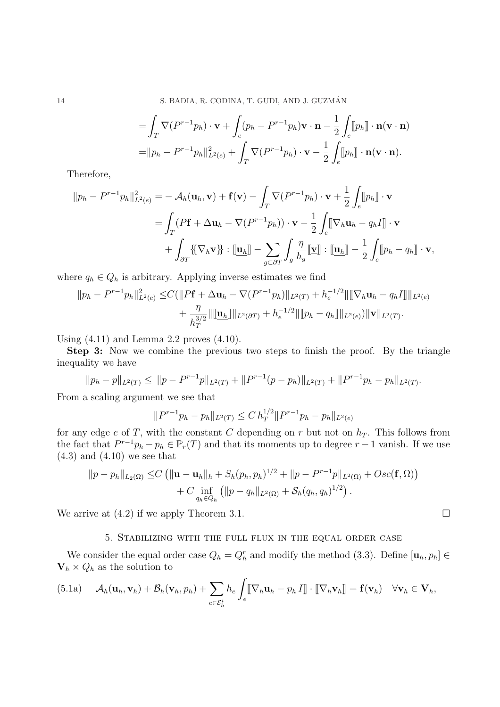14 S. BADIA, R. CODINA, T. GUDI, AND J. GUZMÁN

$$
= \int_T \nabla (P^{r-1}p_h) \cdot \mathbf{v} + \int_e (p_h - P^{r-1}p_h) \mathbf{v} \cdot \mathbf{n} - \frac{1}{2} \int_e [p_h] \cdot \mathbf{n} (\mathbf{v} \cdot \mathbf{n})
$$
  
=  $||p_h - P^{r-1}p_h||_{L^2(e)}^2 + \int_T \nabla (P^{r-1}p_h) \cdot \mathbf{v} - \frac{1}{2} \int_e [p_h] \cdot \mathbf{n} (\mathbf{v} \cdot \mathbf{n}).$ 

Therefore,

$$
||p_h - P^{r-1}p_h||_{L^2(e)}^2 = -\mathcal{A}_h(\mathbf{u}_h, \mathbf{v}) + \mathbf{f}(\mathbf{v}) - \int_T \nabla (P^{r-1}p_h) \cdot \mathbf{v} + \frac{1}{2} \int_e [p_h] \cdot \mathbf{v}
$$
  
= 
$$
\int_T (P\mathbf{f} + \Delta \mathbf{u}_h - \nabla (P^{r-1}p_h)) \cdot \mathbf{v} - \frac{1}{2} \int_e [\nabla_h \mathbf{u}_h - q_h I] \cdot \mathbf{v}
$$
  
+ 
$$
\int_{\partial T} {\{\nabla_h \mathbf{v}\}} \cdot [\underline{\mathbf{u}}_h] - \sum_{g \in \partial T} \int_g \frac{\eta}{h_g} [\underline{\mathbf{v}}] \cdot [\underline{\mathbf{u}}_h] - \frac{1}{2} \int_e [p_h - q_h] \cdot \mathbf{v},
$$

where  $q_h \in Q_h$  is arbitrary. Applying inverse estimates we find

$$
||p_h - P^{r-1}p_h||_{L^2(e)}^2 \leq C(||Pf + \Delta \mathbf{u}_h - \nabla (P^{r-1}p_h)||_{L^2(T)} + h_e^{-1/2}||[\nabla_h \mathbf{u}_h - q_h I]]||_{L^2(e)} + \frac{\eta}{h_T^{3/2}}||[\mathbf{u}_h]||_{L^2(\partial T)} + h_e^{-1/2}||[\![p_h - q_h]\!]||_{L^2(e)})||\mathbf{v}||_{L^2(T)}.
$$

Using (4.11) and Lemma 2.2 proves (4.10).

Step 3: Now we combine the previous two steps to finish the proof. By the triangle inequality we have

$$
||p_h - p||_{L^2(T)} \le ||p - P^{r-1}p||_{L^2(T)} + ||P^{r-1}(p - p_h)||_{L^2(T)} + ||P^{r-1}p_h - p_h||_{L^2(T)}.
$$

From a scaling argument we see that

$$
||P^{r-1}p_h - p_h||_{L^2(T)} \le C h_T^{1/2} ||P^{r-1}p_h - p_h||_{L^2(e)}
$$

for any edge e of T, with the constant C depending on r but not on  $h_T$ . This follows from the fact that  $P^{r-1}p_h - p_h \in \mathbb{P}_r(T)$  and that its moments up to degree  $r-1$  vanish. If we use  $(4.3)$  and  $(4.10)$  we see that

$$
||p - p_h||_{L_2(\Omega)} \leq C \left( ||\mathbf{u} - \mathbf{u}_h||_h + S_h(p_h, p_h)^{1/2} + ||p - P^{r-1}p||_{L^2(\Omega)} + Osc(\mathbf{f}, \Omega) \right) + C \inf_{q_h \in Q_h} \left( ||p - q_h||_{L^2(\Omega)} + S_h(q_h, q_h)^{1/2} \right).
$$

We arrive at  $(4.2)$  if we apply Theorem 3.1.  $\Box$ 

## 5. Stabilizing with the full flux in the equal order case

We consider the equal order case  $Q_h = Q_h^r$  and modify the method (3.3). Define  $[\mathbf{u}_h, p_h] \in$  $\mathbf{V}_h \times Q_h$  as the solution to

(5.1a) 
$$
\mathcal{A}_h(\mathbf{u}_h, \mathbf{v}_h) + \mathcal{B}_h(\mathbf{v}_h, p_h) + \sum_{e \in \mathcal{E}_h^i} h_e \int_e [\![\nabla_h \mathbf{u}_h - p_h \, I]\!] \cdot [\![\nabla_h \mathbf{v}_h]\!] = \mathbf{f}(\mathbf{v}_h) \quad \forall \mathbf{v}_h \in \mathbf{V}_h,
$$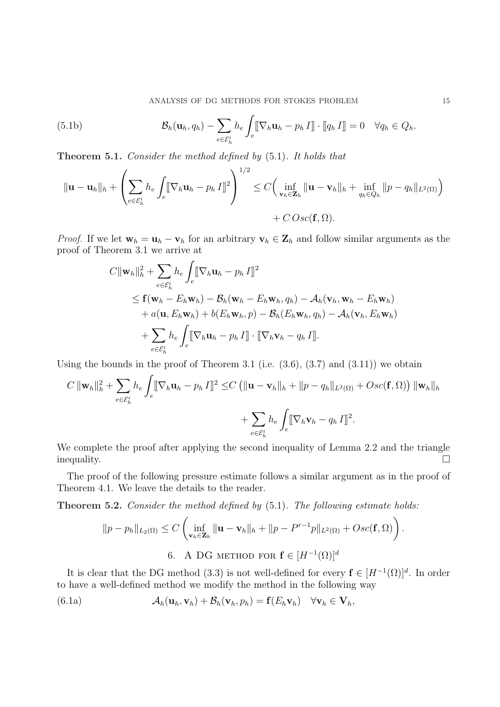(5.1b) 
$$
\mathcal{B}_h(\mathbf{u}_h, q_h) - \sum_{e \in \mathcal{E}_h^i} h_e \int_e [\![\nabla_h \mathbf{u}_h - p_h \, I]\!] \cdot [\![q_h \, I]\!] = 0 \quad \forall q_h \in Q_h.
$$

Theorem 5.1. Consider the method defined by (5.1). It holds that

$$
\|\mathbf{u}-\mathbf{u}_h\|_h + \left(\sum_{e \in \mathcal{E}_h^i} h_e \int_e \left[\nabla_h \mathbf{u}_h - p_h I\right]^2\right)^{1/2} \leq C \Big(\inf_{\mathbf{v}_h \in \mathbf{Z}_h} \|\mathbf{u}-\mathbf{v}_h\|_h + \inf_{q_h \in Q_h} \|p-q_h\|_{L^2(\Omega)}\Big) + C \, Osc(\mathbf{f}, \Omega).
$$

*Proof.* If we let  $\mathbf{w}_h = \mathbf{u}_h - \mathbf{v}_h$  for an arbitrary  $\mathbf{v}_h \in \mathbf{Z}_h$  and follow similar arguments as the proof of Theorem 3.1 we arrive at  $\overline{a}$ 

$$
C \|\mathbf{w}_h\|_h^2 + \sum_{e \in \mathcal{E}_h^i} h_e \int_e [\nabla_h \mathbf{u}_h - p_h I]^2
$$
  
\n
$$
\leq \mathbf{f}(\mathbf{w}_h - E_h \mathbf{w}_h) - \mathcal{B}_h(\mathbf{w}_h - E_h \mathbf{w}_h, q_h) - \mathcal{A}_h(\mathbf{v}_h, \mathbf{w}_h - E_h \mathbf{w}_h)
$$
  
\n
$$
+ a(\mathbf{u}, E_h \mathbf{w}_h) + b(E_h \mathbf{w}_h, p) - \mathcal{B}_h(E_h \mathbf{w}_h, q_h) - \mathcal{A}_h(\mathbf{v}_h, E_h \mathbf{w}_h)
$$
  
\n
$$
+ \sum_{e \in \mathcal{E}_h^i} h_e \int_e [\nabla_h \mathbf{u}_h - p_h I] \cdot [\nabla_h \mathbf{v}_h - q_h I]].
$$

Using the bounds in the proof of Theorem 3.1 (i.e.  $(3.6)$ ,  $(3.7)$  and  $(3.11)$ ) we obtain Z

$$
C \|\mathbf{w}_h\|_h^2 + \sum_{e \in \mathcal{E}_h^i} h_e \int_e [\nabla_h \mathbf{u}_h - p_h I]^2 \leq C \left( \|\mathbf{u} - \mathbf{v}_h\|_h + \|p - q_h\|_{L^2(\Omega)} + Osc(\mathbf{f}, \Omega) \right) \|\mathbf{w}_h\|_h
$$
  
+ 
$$
\sum_{e \in \mathcal{E}_h^i} h_e \int_e [\nabla_h \mathbf{v}_h - q_h I]^2.
$$

We complete the proof after applying the second inequality of Lemma 2.2 and the triangle inequality.  $\Box$ 

The proof of the following pressure estimate follows a similar argument as in the proof of Theorem 4.1. We leave the details to the reader.

**Theorem 5.2.** Consider the method defined by  $(5.1)$ . The following estimate holds:  $\frac{1}{2}$ 

$$
||p - p_h||_{L_2(\Omega)} \le C \left( \inf_{\mathbf{v}_h \in \mathbf{Z}_h} ||\mathbf{u} - \mathbf{v}_h||_h + ||p - P^{r-1}p||_{L^2(\Omega)} + Osc(\mathbf{f}, \Omega) \right).
$$
  
6. A DG METHOD for  $\mathbf{f} \in [H^{-1}(\Omega)]^d$ 

It is clear that the DG method (3.3) is not well-defined for every  $f \in [H^{-1}(\Omega)]^d$ . In order to have a well-defined method we modify the method in the following way

(6.1a) 
$$
\mathcal{A}_h(\mathbf{u}_h, \mathbf{v}_h) + \mathcal{B}_h(\mathbf{v}_h, p_h) = \mathbf{f}(E_h \mathbf{v}_h) \quad \forall \mathbf{v}_h \in \mathbf{V}_h,
$$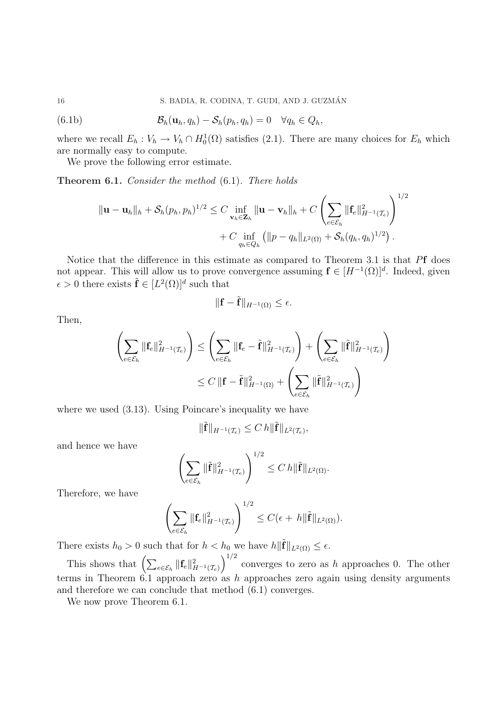(6.1b) 
$$
\mathcal{B}_h(\mathbf{u}_h, q_h) - \mathcal{S}_h(p_h, q_h) = 0 \quad \forall q_h \in Q_h,
$$

where we recall  $E_h: V_h \to V_h \cap H_0^1(\Omega)$  satisfies (2.1). There are many choices for  $E_h$  which are normally easy to compute.

We prove the following error estimate.

Theorem 6.1. Consider the method (6.1). There holds

$$
\|\mathbf{u}-\mathbf{u}_h\|_h + \mathcal{S}_h(p_h, p_h)^{1/2} \leq C \inf_{\mathbf{v}_h \in \mathbf{Z}_h} \|\mathbf{u}-\mathbf{v}_h\|_h + C \left( \sum_{e \in \mathcal{E}_h} \|\mathbf{f}_e\|_{H^{-1}(\mathcal{I}_e)}^2 \right)^{1/2} + C \inf_{q_h \in Q_h} \left( \|p - q_h\|_{L^2(\Omega)} + \mathcal{S}_h(q_h, q_h)^{1/2} \right).
$$

Notice that the difference in this estimate as compared to Theorem 3.1 is that Pf does not appear. This will allow us to prove convergence assuming  $f \in [H^{-1}(\Omega)]^d$ . Indeed, given  $\epsilon > 0$  there exists  $\tilde{\mathbf{f}} \in [L^2(\Omega)]^d$  such that

$$
\|\mathbf{f} - \tilde{\mathbf{f}}\|_{H^{-1}(\Omega)} \le \epsilon.
$$

Then,

$$
\left(\sum_{e \in \mathcal{E}_h} \|\mathbf{f}_e\|_{H^{-1}(\mathcal{T}_e)}^2\right) \le \left(\sum_{e \in \mathcal{E}_h} \|\mathbf{f}_e - \tilde{\mathbf{f}}\|_{H^{-1}(\mathcal{T}_e)}^2\right) + \left(\sum_{e \in \mathcal{E}_h} \|\tilde{\mathbf{f}}\|_{H^{-1}(\mathcal{T}_e)}^2\right)
$$
  

$$
\le C \|\mathbf{f} - \tilde{\mathbf{f}}\|_{H^{-1}(\Omega)}^2 + \left(\sum_{e \in \mathcal{E}_h} \|\tilde{\mathbf{f}}\|_{H^{-1}(\mathcal{T}_e)}^2\right)
$$

where we used  $(3.13)$ . Using Poincare's inequality we have

$$
\|\tilde{\mathbf{f}}\|_{H^{-1}(\mathcal{T}_e)} \leq C\,h\|\tilde{\mathbf{f}}\|_{L^2(\mathcal{T}_e)},
$$

and hence we have

$$
\left(\sum_{e\in\mathcal{E}_h}\|\tilde{\mathbf{f}}\|_{H^{-1}(\mathcal{T}_e)}^2\right)^{1/2}\leq C\,h\|\tilde{\mathbf{f}}\|_{L^2(\Omega)}.
$$

Therefore, we have

$$
\left(\sum_{e\in\mathcal{E}_h} \|\mathbf{f}_e\|_{H^{-1}(\mathcal{T}_e)}^2\right)^{1/2} \leq C(\epsilon + h \|\tilde{\mathbf{f}}\|_{L^2(\Omega)}).
$$

There exists  $h_0 > 0$  such that for  $h < h_0$  we have  $h \| \tilde{\mathbf{f}} \|_{L^2(\Omega)} \leq \epsilon$ .

This shows that  $\left(\sum_{e \in \mathcal{E}_h} ||\mathbf{f}_e||_{H^{-1}(\mathcal{T}_e)}^2\right)$  $\begin{array}{c}\n\sqrt{1/2}\n\end{array}$ converges to zero as  $h$  approaches 0. The other terms in Theorem  $6.1$  approach zero as h approaches zero again using density arguments and therefore we can conclude that method (6.1) converges.

We now prove Theorem 6.1.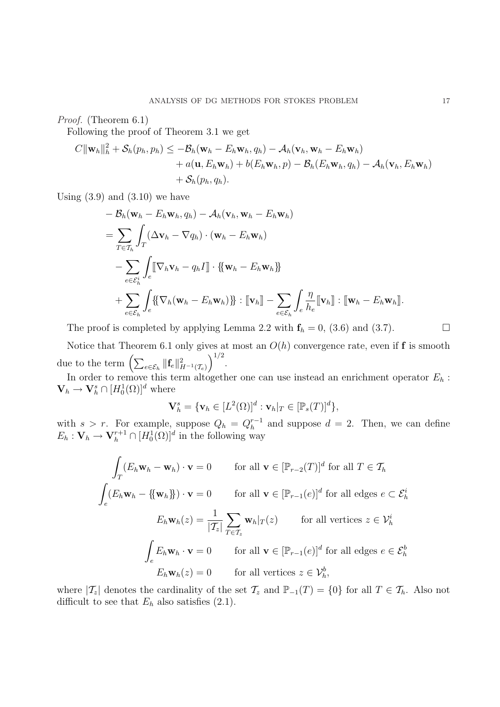Proof. (Theorem 6.1)

Following the proof of Theorem 3.1 we get

$$
C||\mathbf{w}_h||_h^2 + \mathcal{S}_h(p_h, p_h) \le -\mathcal{B}_h(\mathbf{w}_h - E_h \mathbf{w}_h, q_h) - \mathcal{A}_h(\mathbf{v}_h, \mathbf{w}_h - E_h \mathbf{w}_h) + a(\mathbf{u}, E_h \mathbf{w}_h) + b(E_h \mathbf{w}_h, p) - \mathcal{B}_h(E_h \mathbf{w}_h, q_h) - \mathcal{A}_h(\mathbf{v}_h, E_h \mathbf{w}_h) + \mathcal{S}_h(p_h, q_h).
$$

Using  $(3.9)$  and  $(3.10)$  we have

$$
- B_h(\mathbf{w}_h - E_h \mathbf{w}_h, q_h) - A_h(\mathbf{v}_h, \mathbf{w}_h - E_h \mathbf{w}_h)
$$
  
= 
$$
\sum_{T \in \mathcal{T}_h} \int_T (\Delta \mathbf{v}_h - \nabla q_h) \cdot (\mathbf{w}_h - E_h \mathbf{w}_h)
$$
  

$$
- \sum_{e \in \mathcal{E}_h^i} \int_e [\nabla_h \mathbf{v}_h - q_h I] \cdot {\mathbf{w}_h - E_h \mathbf{w}_h}
$$
  
+ 
$$
\sum_{e \in \mathcal{E}_h} \int_e {\mathbf{W}_h (\mathbf{w}_h - E_h \mathbf{w}_h)} \cdot [\nabla_h] - \sum_{e \in \mathcal{E}_h} \int_e \frac{\eta}{h_e} [\nabla_h] : [\nabla_h - E_h \mathbf{w}_h].
$$

The proof is completed by applying Lemma 2.2 with  $f_h = 0$ , (3.6) and (3.7).

Notice that Theorem 6.1 only gives at most an  $O(h)$  convergence rate, even if f is smooth Notice that Theorem 0.1 omy gives  $\frac{1}{2}$ .

In order to remove this term altogether one can use instead an enrichment operator  $E_h$ :  $\mathbf{V}_h \to \mathbf{V}_h^s \cap [H_0^1(\Omega)]^d$  where

$$
\mathbf{V}_h^s = \{ \mathbf{v}_h \in [L^2(\Omega)]^d : \mathbf{v}_h|_T \in [\mathbb{P}_s(T)]^d \},
$$

with  $s > r$ . For example, suppose  $Q_h = Q_h^{r-1}$  $h^{-1}$  and suppose  $d = 2$ . Then, we can define  $E_h: \mathbf{V}_h \to \mathbf{V}_h^{r+1} \cap [H_0^1(\Omega)]^d$  in the following way

$$
\int_{T} (E_{h}\mathbf{w}_{h} - \mathbf{w}_{h}) \cdot \mathbf{v} = 0 \quad \text{for all } \mathbf{v} \in [\mathbb{P}_{r-2}(T)]^{d} \text{ for all } T \in \mathcal{T}_{h}
$$
\n
$$
\int_{e} (E_{h}\mathbf{w}_{h} - {\mathbf{w}_{h}}) \cdot \mathbf{v} = 0 \quad \text{for all } \mathbf{v} \in [\mathbb{P}_{r-1}(e)]^{d} \text{ for all edges } e \subset \mathcal{E}_{h}^{i}
$$
\n
$$
E_{h}\mathbf{w}_{h}(z) = \frac{1}{|\mathcal{T}_{z}|} \sum_{T \in \mathcal{T}_{z}} \mathbf{w}_{h}|_{T}(z) \quad \text{for all vertices } z \in \mathcal{V}_{h}^{i}
$$
\n
$$
\int_{e} E_{h}\mathbf{w}_{h} \cdot \mathbf{v} = 0 \quad \text{for all } \mathbf{v} \in [\mathbb{P}_{r-1}(e)]^{d} \text{ for all edges } e \in \mathcal{E}_{h}^{b}
$$
\n
$$
E_{h}\mathbf{w}_{h}(z) = 0 \quad \text{for all vertices } z \in \mathcal{V}_{h}^{b},
$$

where  $|\mathcal{T}_z|$  denotes the cardinality of the set  $\mathcal{T}_z$  and  $\mathbb{P}_{-1}(T) = \{0\}$  for all  $T \in \mathcal{T}_h$ . Also not difficult to see that  $E_h$  also satisfies (2.1).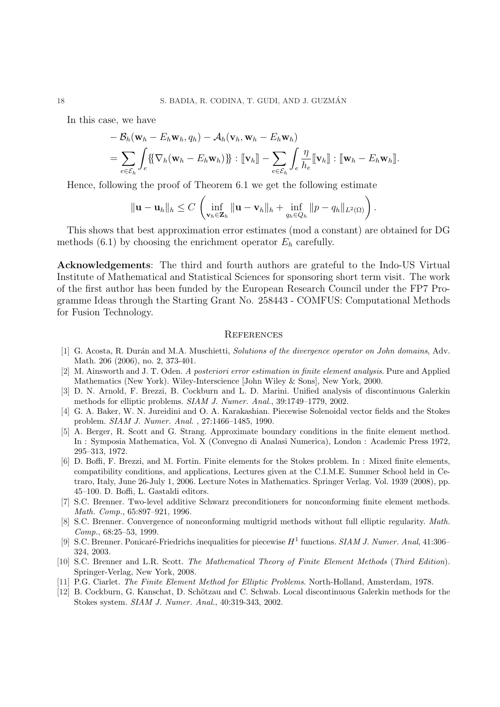In this case, we have

$$
-B_h(\mathbf{w}_h - E_h \mathbf{w}_h, q_h) - A_h(\mathbf{v}_h, \mathbf{w}_h - E_h \mathbf{w}_h)
$$
  
= 
$$
\sum_{e \in \mathcal{E}_h} \int_e {\{\nabla_h (\mathbf{w}_h - E_h \mathbf{w}_h)\}\n} : [\nabla_h] - \sum_{e \in \mathcal{E}_h} \int_e \frac{\eta}{h_e} [\nabla_h] : [\nabla_h - E_h \mathbf{w}_h]].
$$

Hence, following the proof of Theorem 6.1 we get the following estimate

$$
\|\mathbf{u}-\mathbf{u}_h\|_h \leq C \left( \inf_{\mathbf{v}_h \in \mathbf{Z}_h} \|\mathbf{u}-\mathbf{v}_h\|_h + \inf_{q_h \in Q_h} \|p-q_h\|_{L^2(\Omega)} \right).
$$

This shows that best approximation error estimates (mod a constant) are obtained for DG methods  $(6.1)$  by choosing the enrichment operator  $E_h$  carefully.

Acknowledgements: The third and fourth authors are grateful to the Indo-US Virtual Institute of Mathematical and Statistical Sciences for sponsoring short term visit. The work of the first author has been funded by the European Research Council under the FP7 Programme Ideas through the Starting Grant No. 258443 - COMFUS: Computational Methods for Fusion Technology.

#### **REFERENCES**

- [1] G. Acosta, R. Durán and M.A. Muschietti, Solutions of the divergence operator on John domains, Adv. Math. 206 (2006), no. 2, 373-401.
- [2] M. Ainsworth and J. T. Oden. A posteriori error estimation in finite element analysis. Pure and Applied Mathematics (New York). Wiley-Interscience [John Wiley & Sons], New York, 2000.
- [3] D. N. Arnold, F. Brezzi, B. Cockburn and L. D. Marini. Unified analysis of discontinuous Galerkin methods for elliptic problems. SIAM J. Numer. Anal., 39:1749–1779, 2002.
- [4] G. A. Baker, W. N. Jureidini and O. A. Karakashian. Piecewise Solenoidal vector fields and the Stokes problem. SIAM J. Numer. Anal. , 27:1466–1485, 1990.
- [5] A. Berger, R. Scott and G. Strang. Approximate boundary conditions in the finite element method. In : Symposia Mathematica, Vol. X (Convegno di Analasi Numerica), London : Academic Press 1972, 295–313, 1972.
- [6] D. Boffi, F. Brezzi, and M. Fortin. Finite elements for the Stokes problem. In : Mixed finite elements, compatibility conditions, and applications, Lectures given at the C.I.M.E. Summer School held in Cetraro, Italy, June 26-July 1, 2006. Lecture Notes in Mathematics. Springer Verlag. Vol. 1939 (2008), pp. 45–100. D. Boffi, L. Gastaldi editors.
- [7] S.C. Brenner. Two-level additive Schwarz preconditioners for nonconforming finite element methods. Math. Comp., 65:897–921, 1996.
- [8] S.C. Brenner. Convergence of nonconforming multigrid methods without full elliptic regularity. Math. Comp., 68:25–53, 1999.
- [9] S.C. Brenner. Ponicaré-Friedrichs inequalities for piecewise  $H^1$  functions. SIAM J. Numer. Anal, 41:306– 324, 2003.
- [10] S.C. Brenner and L.R. Scott. The Mathematical Theory of Finite Element Methods (Third Edition). Springer-Verlag, New York, 2008.
- [11] P.G. Ciarlet. The Finite Element Method for Elliptic Problems. North-Holland, Amsterdam, 1978.
- [12] B. Cockburn, G. Kanschat, D. Schötzau and C. Schwab. Local discontinuous Galerkin methods for the Stokes system. SIAM J. Numer. Anal., 40:319-343, 2002.